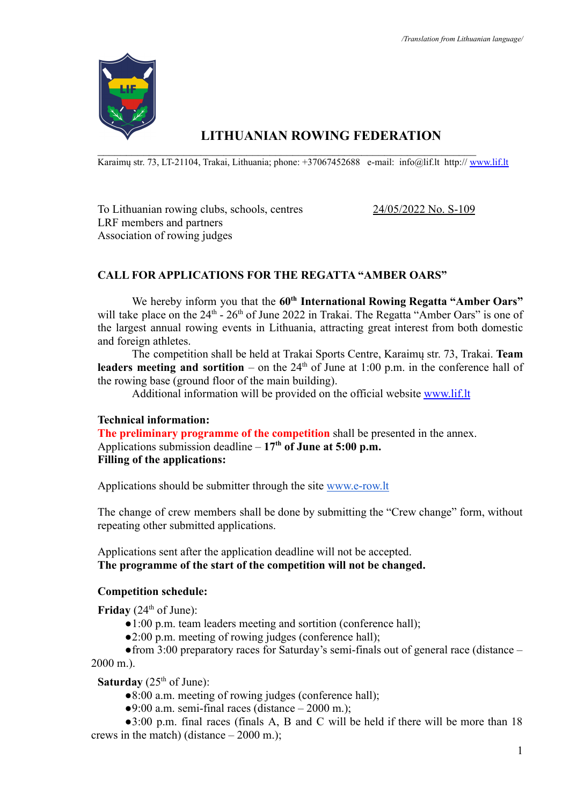

# **LITHUANIAN ROWING FEDERATION**

 $\mathcal{L}_\text{max} = \mathcal{L}_\text{max} = \mathcal{L}_\text{max} = \mathcal{L}_\text{max} = \mathcal{L}_\text{max} = \mathcal{L}_\text{max} = \mathcal{L}_\text{max} = \mathcal{L}_\text{max} = \mathcal{L}_\text{max} = \mathcal{L}_\text{max} = \mathcal{L}_\text{max} = \mathcal{L}_\text{max} = \mathcal{L}_\text{max} = \mathcal{L}_\text{max} = \mathcal{L}_\text{max} = \mathcal{L}_\text{max} = \mathcal{L}_\text{max} = \mathcal{L}_\text{max} = \mathcal{$ Karaimų str. 73, LT-21104, Trakai, Lithuania; phone: +37067452688 e-mail: info@lif.lt http:// [www.lif.lt](http://www.lif.lt)

To Lithuanian rowing clubs, schools, centres 24/05/2022 No. S-109 LRF members and partners Association of rowing judges

# **CALL FOR APPLICATIONS FOR THE REGATTA "AMBER OARS"**

We hereby inform you that the **60th International Rowing Regatta "Amber Oars"** will take place on the  $24<sup>th</sup>$  -  $26<sup>th</sup>$  of June 2022 in Trakai. The Regatta "Amber Oars" is one of the largest annual rowing events in Lithuania, attracting great interest from both domestic and foreign athletes.

The competition shall be held at Trakai Sports Centre, Karaimų str. 73, Trakai. **Team leaders meeting and sortition** – on the  $24<sup>th</sup>$  of June at 1:00 p.m. in the conference hall of the rowing base (ground floor of the main building).

Additional information will be provided on the official website [www.lif.lt](http://www.lif.lt)

#### **Technical information:**

**The preliminary programme of the competition** shall be presented in the annex. Applications submission deadline – **17th of June at 5:00 p.m. Filling of the applications:**

Applications should be submitter through the site [www.e-row.lt](http://www.e-row.lt)

The change of crew members shall be done by submitting the "Crew change" form, without repeating other submitted applications.

Applications sent after the application deadline will not be accepted. **The programme of the start of the competition will not be changed.**

## **Competition schedule:**

**Friday** ( $24<sup>th</sup>$  of June):

- ●1:00 p.m. team leaders meeting and sortition (conference hall);
- ●2:00 p.m. meeting of rowing judges (conference hall);

 $\bullet$  from 3:00 preparatory races for Saturday's semi-finals out of general race (distance – 2000 m.).

**Saturday** ( $25<sup>th</sup>$  of June):

- ●8:00 a.m. meeting of rowing judges (conference hall);
- $\bullet$ 9:00 a.m. semi-final races (distance 2000 m.);

●3:00 p.m. final races (finals A, B and C will be held if there will be more than 18 crews in the match) (distance  $-2000$  m.);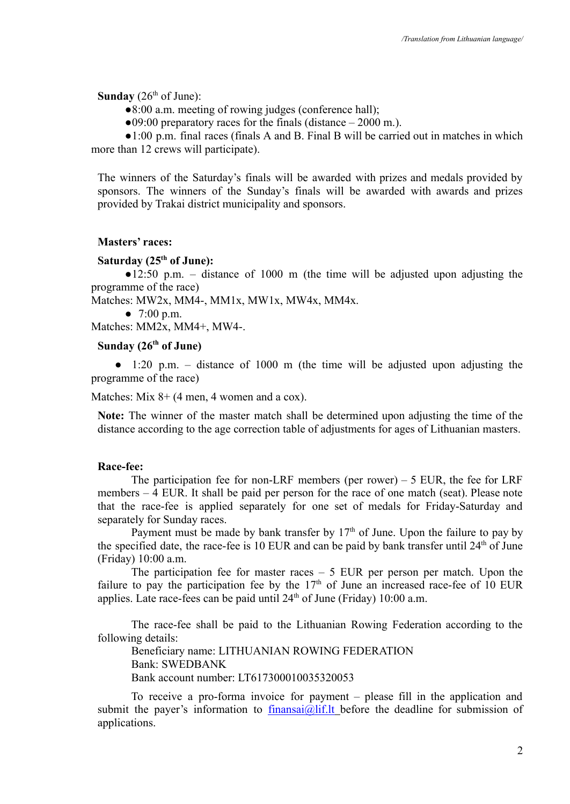**Sunday** ( $26<sup>th</sup>$  of June):

●8:00 a.m. meeting of rowing judges (conference hall);

 $\bullet$ 09:00 preparatory races for the finals (distance – 2000 m.).

●1:00 p.m. final races (finals A and B. Final B will be carried out in matches in which more than 12 crews will participate).

The winners of the Saturday's finals will be awarded with prizes and medals provided by sponsors. The winners of the Sunday's finals will be awarded with awards and prizes provided by Trakai district municipality and sponsors.

#### **Masters' races:**

## **Saturday (25th of June):**

●12:50 p.m. – distance of 1000 m (the time will be adjusted upon adjusting the programme of the race)

Matches: MW2x, MM4-, MM1x, MW1x, MW4x, MM4x.

 $\bullet$  7:00 p.m.

Matches: MM2x, MM4+, MW4-.

## **Sunday (26th of June)**

 $\bullet$  1:20 p.m. – distance of 1000 m (the time will be adjusted upon adjusting the programme of the race)

Matches: Mix 8+ (4 men, 4 women and a cox).

**Note:** The winner of the master match shall be determined upon adjusting the time of the distance according to the age correction table of adjustments for ages of Lithuanian masters.

#### **Race-fee:**

The participation fee for non-LRF members (per rower)  $-5$  EUR, the fee for LRF members – 4 EUR. It shall be paid per person for the race of one match (seat). Please note that the race-fee is applied separately for one set of medals for Friday-Saturday and separately for Sunday races.

Payment must be made by bank transfer by  $17<sup>th</sup>$  of June. Upon the failure to pay by the specified date, the race-fee is 10 EUR and can be paid by bank transfer until  $24<sup>th</sup>$  of June (Friday) 10:00 a.m.

The participation fee for master races  $-5$  EUR per person per match. Upon the failure to pay the participation fee by the  $17<sup>th</sup>$  of June an increased race-fee of 10 EUR applies. Late race-fees can be paid until  $24<sup>th</sup>$  of June (Friday) 10:00 a.m.

The race-fee shall be paid to the Lithuanian Rowing Federation according to the following details:

Beneficiary name: LITHUANIAN ROWING FEDERATION Bank: SWEDBANK Bank account number: LT617300010035320053

To receive a pro-forma invoice for payment – please fill in the application and submit the payer's information to [finansai@lif.lt](mailto:finansai@lif.lt) before the deadline for submission of applications.